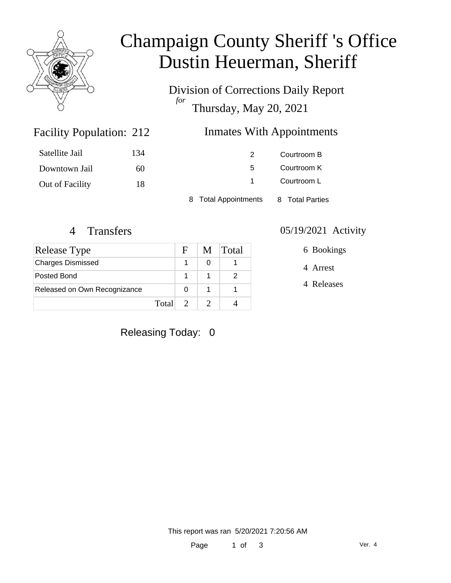

# Champaign County Sheriff 's Office Dustin Heuerman, Sheriff

Division of Corrections Daily Report *for* Thursday, May 20, 2021

### Facility Population: 212

### Inmates With Appointments

| Satellite Jail  | 134 |                      | Courtroom B     |
|-----------------|-----|----------------------|-----------------|
| Downtown Jail   | 60  | 5.                   | Courtroom K     |
| Out of Facility | 18  |                      | Courtroom L     |
|                 |     | 8 Total Appointments | 8 Total Parties |

| Release Type                 |  | M | <b>Total</b> |
|------------------------------|--|---|--------------|
| <b>Charges Dismissed</b>     |  |   |              |
| Posted Bond                  |  |   |              |
| Released on Own Recognizance |  |   |              |
| Total                        |  |   |              |

#### 4 Transfers 05/19/2021 Activity

6 Bookings

4 Arrest

4 Releases

Releasing Today: 0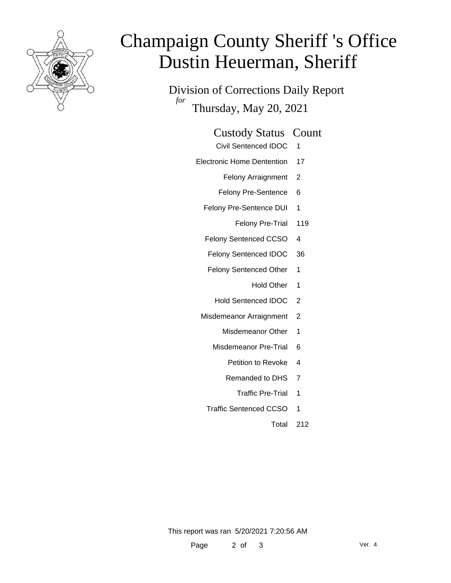

# Champaign County Sheriff 's Office Dustin Heuerman, Sheriff

Division of Corrections Daily Report *for* Thursday, May 20, 2021

| <b>Custody Status Count</b> |  |  |
|-----------------------------|--|--|
|-----------------------------|--|--|

- Civil Sentenced IDOC 1
- Electronic Home Dentention 17
	- Felony Arraignment 2
	- Felony Pre-Sentence 6
	- Felony Pre-Sentence DUI 1
		- Felony Pre-Trial 119
	- Felony Sentenced CCSO 4
	- Felony Sentenced IDOC 36
	- Felony Sentenced Other 1
		- Hold Other 1
		- Hold Sentenced IDOC 2
	- Misdemeanor Arraignment 2
		- Misdemeanor Other 1
		- Misdemeanor Pre-Trial 6
			- Petition to Revoke 4
			- Remanded to DHS 7
				- Traffic Pre-Trial 1
		- Traffic Sentenced CCSO 1
			- Total 212